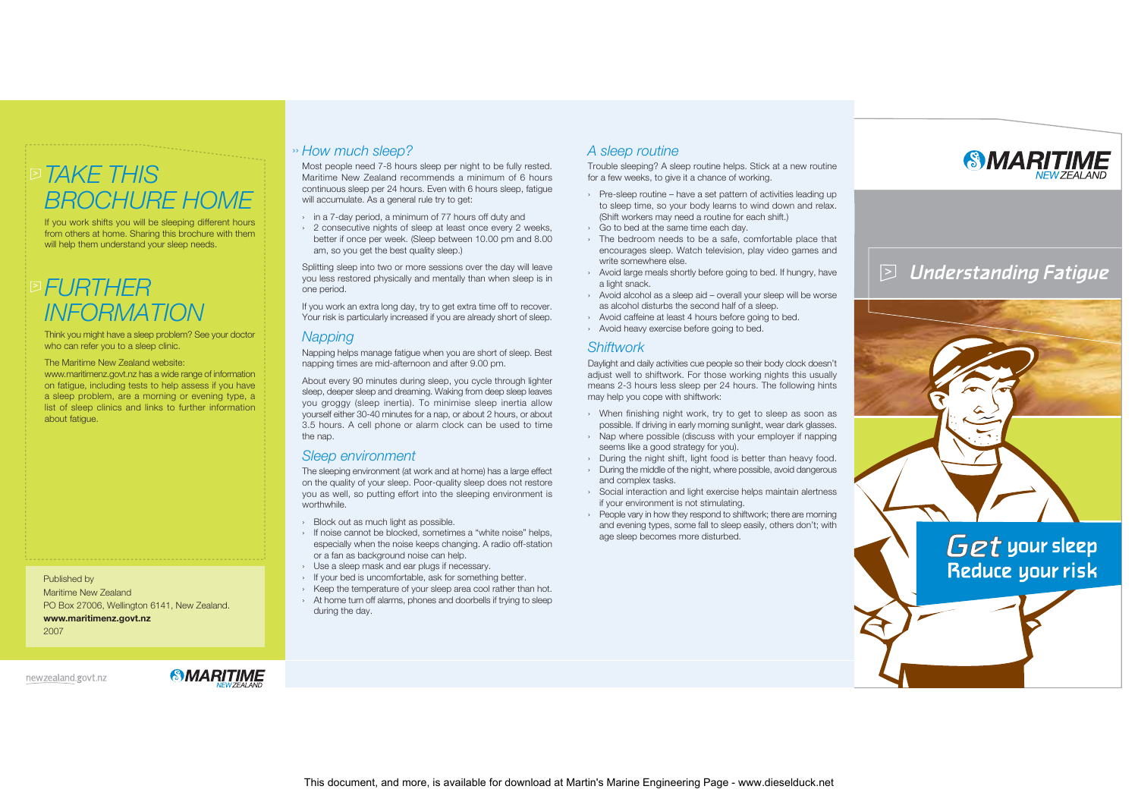# *TAKE THIS> BROCHURE HOME*

If you work shifts you will be sleeping different hours from others at home. Sharing this brochure with them will help them understand your sleep needs.

# *FURTHER> INFORMATION*

Think you might have a sleep problem? See your doctor who can refer you to a sleep clinic.

The Maritime New Zealand website:

www.maritimenz.govt.nz has a wide range of information on fatigue, including tests to help assess if you have a sleep problem, are a morning or evening type, a list of sleep clinics and links to further information about fatigue.

Published by Maritime New Zealand PO Box 27006, Wellington 6141, New Zealand. **www.maritimenz.govt.nz** 2007

newzealand.govt.nz

*SMARITIME* 

## *How much sleep?* ››

Most people need 7-8 hours sleep per night to be fully rested. Maritime New Zealand recommends a minimum of 6 hours continuous sleep per 24 hours. Even with 6 hours sleep, fatigue will accumulate. As a general rule try to get:

- › in a 7-day period, a minimum of 77 hours off duty and
- › 2 consecutive nights of sleep at least once every 2 weeks, better if once per week. (Sleep between 10.00 pm and 8.00 am, so you get the best quality sleep.)

Splitting sleep into two or more sessions over the day will leave you less restored physically and mentally than when sleep is in one period.

If you work an extra long day, try to get extra time off to recover. Your risk is particularly increased if you are already short of sleep.

### *Napping*

Napping helps manage fatigue when you are short of sleep. Best napping times are mid-afternoon and after 9.00 pm.

About every 90 minutes during sleep, you cycle through lighter sleep, deeper sleep and dreaming. Waking from deep sleep leaves you groggy (sleep inertia). To minimise sleep inertia allow yourself either 30-40 minutes for a nap, or about 2 hours, or about 3.5 hours. A cell phone or alarm clock can be used to time the nap.

### *Sleep environment*

The sleeping environment (at work and at home) has a large effect on the quality of your sleep. Poor-quality sleep does not restore you as well, so putting effort into the sleeping environment is worthwhile.

- › Block out as much light as possible.
- › If noise cannot be blocked, sometimes a "white noise" helps, especially when the noise keeps changing. A radio off-station or a fan as background noise can help.
- › Use a sleep mask and ear plugs if necessary.
- › If your bed is uncomfortable, ask for something better.
- › Keep the temperature of your sleep area cool rather than hot. › At home turn off alarms, phones and doorbells if trying to sleep
- during the day.

## *A sleep routine*

Trouble sleeping? A sleep routine helps. Stick at a new routine for a few weeks, to give it a chance of working.

- › Pre-sleep routine have a set pattern of activities leading up to sleep time, so your body learns to wind down and relax. (Shift workers may need a routine for each shift.)
- › Go to bed at the same time each day.
- › The bedroom needs to be a safe, comfortable place that encourages sleep. Watch television, play video games and write somewhere else.
- › Avoid large meals shortly before going to bed. If hungry, have a light snack.
- › Avoid alcohol as a sleep aid overall your sleep will be worse as alcohol disturbs the second half of a sleep.
- › Avoid caffeine at least 4 hours before going to bed.
- › Avoid heavy exercise before going to bed.

#### *Shiftwork*

Daylight and daily activities cue people so their body clock doesn't adjust well to shiftwork. For those working nights this usually means 2-3 hours less sleep per 24 hours. The following hints may help you cope with shiftwork:

- › When finishing night work, try to get to sleep as soon as possible. If driving in early morning sunlight, wear dark glasses.
- › Nap where possible (discuss with your employer if napping seems like a good strategy for you).
- › During the night shift, light food is better than heavy food.
- › During the middle of the night, where possible, avoid dangerous and complex tasks.
- › Social interaction and light exercise helps maintain alertness if your environment is not stimulating.
- › People vary in how they respond to shiftwork; there are morning and evening types, some fall to sleep easily, others don't; with age sleep becomes more disturbed.



#### *>*Understanding Fatigue